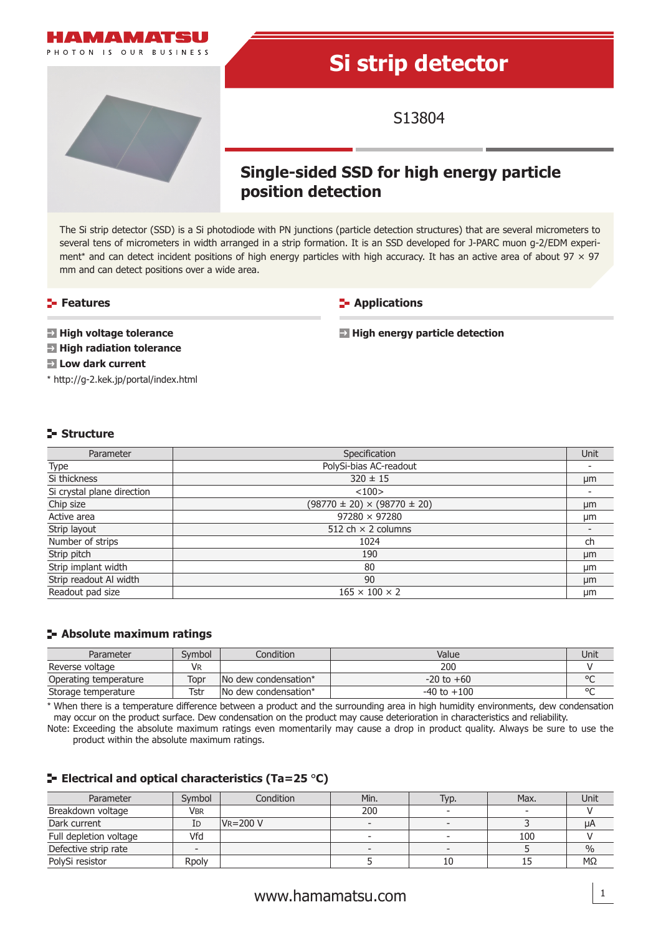

The Si strip detector (SSD) is a Si photodiode with PN junctions (particle detection structures) that are several micrometers to several tens of micrometers in width arranged in a strip formation. It is an SSD developed for J-PARC muon g-2/EDM experiment\* and can detect incident positions of high energy particles with high accuracy. It has an active area of about  $97 \times 97$ mm and can detect positions over a wide area.

## **Features**

**E-** Applications

**High voltage tolerance**

**High radiation tolerance**

**High energy particle detection**

\* http://g-2.kek.jp/portal/index.html **Low dark current**

## **Structure**

| Parameter                  | Specification                          | Unit |
|----------------------------|----------------------------------------|------|
| Type                       | PolySi-bias AC-readout                 |      |
| Si thickness               | $320 \pm 15$                           | µm   |
| Si crystal plane direction | <100>                                  |      |
| Chip size                  | $(98770 \pm 20) \times (98770 \pm 20)$ | μm   |
| Active area                | $97280 \times 97280$                   | μm   |
| Strip layout               | 512 ch $\times$ 2 columns              |      |
| Number of strips           | 1024                                   | ch   |
| Strip pitch                | 190                                    | µm   |
| Strip implant width        | 80                                     | µm   |
| Strip readout Al width     | 90                                     | µm   |
| Readout pad size           | $165 \times 100 \times 2$              | μm   |

### **Absolute maximum ratings**

| Parameter             | Symbol | Condition             | Value           | Unit   |
|-----------------------|--------|-----------------------|-----------------|--------|
| Reverse voltage       | VR     |                       | 200             |        |
| Operating temperature | Topr   | No dew condensation*  | $-20$ to $+60$  | $\sim$ |
| Storage temperature   | Tstr   | INo dew condensation* | $-40$ to $+100$ | $\sim$ |

\* When there is a temperature difference between a product and the surrounding area in high humidity environments, dew condensation may occur on the product surface. Dew condensation on the product may cause deterioration in characteristics and reliability.

Note: Exceeding the absolute maximum ratings even momentarily may cause a drop in product quality. Always be sure to use the product within the absolute maximum ratings.

## **Electrical and optical characteristics (Ta=25** °**C)**

| Parameter              | Symbol | Condition     | Min.                     | Typ. | Max.                     | Unit          |
|------------------------|--------|---------------|--------------------------|------|--------------------------|---------------|
| Breakdown voltage      | Vbr    |               | 200                      |      | $\overline{\phantom{0}}$ |               |
| Dark current           | ΙD     | $V_R = 200 V$ | $\overline{\phantom{0}}$ |      |                          | μA            |
| Full depletion voltage | Vfd    |               | $\overline{\phantom{a}}$ |      | 100                      |               |
| Defective strip rate   |        |               |                          |      |                          | $\frac{0}{0}$ |
| PolySi resistor        | Rpoly  |               |                          | 10   |                          | MΩ            |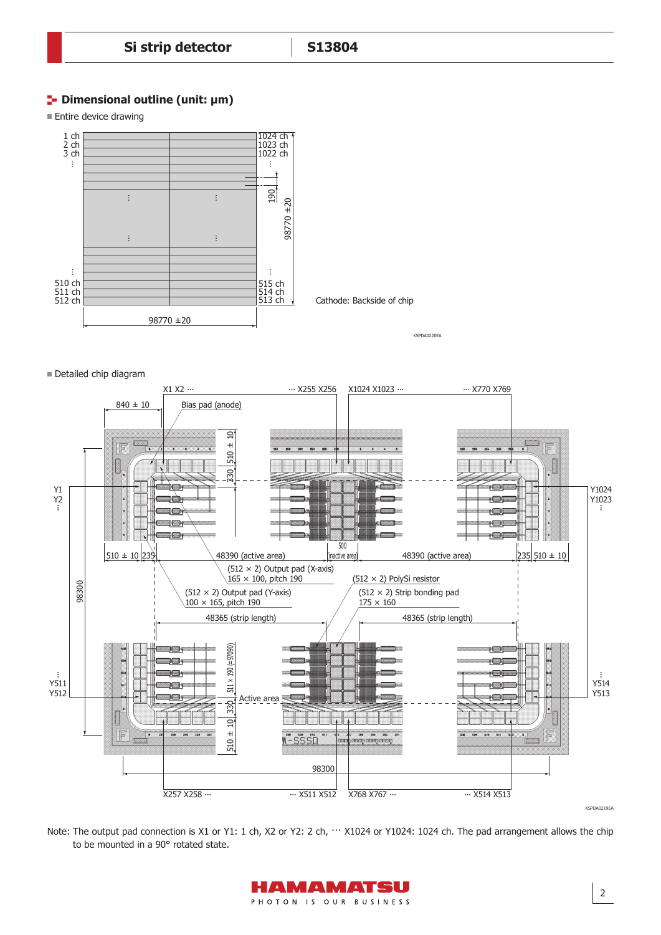## **Dimensional outline (unit: µm)**

**Entire device drawing** 



#### Detailed chip diagram



Note: The output pad connection is X1 or Y1: 1 ch, X2 or Y2: 2 ch,  $\cdots$  X1024 or Y1024: 1024 ch. The pad arrangement allows the chip to be mounted in a 90° rotated state.

> HAMAMATSU PHOTON IS OUR BUSINESS

2